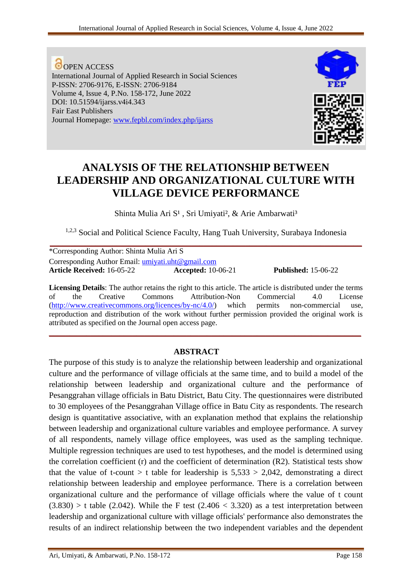**O**OPEN ACCESS International Journal of Applied Research in Social Sciences P-ISSN: 2706-9176, E-ISSN: 2706-9184 Volume 4, Issue 4, P.No. 158-172, June 2022 DOI: 10.51594/ijarss.v4i4.343 Fair East Publishers Journal Homepage: [www.fepbl.com/index.php/ijarss](http://www.fepbl.com/index.php/ijarss)



**Article Received:** 16-05-22 **Accepted:** 10-06-21 **Published:** 15-06-22

# **ANALYSIS OF THE RELATIONSHIP BETWEEN LEADERSHIP AND ORGANIZATIONAL CULTURE WITH VILLAGE DEVICE PERFORMANCE**

Shinta Mulia Ari S<sup>1</sup>, Sri Umiyati<sup>2</sup>, & Arie Ambarwati<sup>3</sup>

1,2,3 Social and Political Science Faculty, Hang Tuah University, Surabaya Indonesia **\_\_\_\_\_\_\_\_\_\_\_\_\_\_\_\_\_\_\_\_\_\_\_\_\_\_\_\_\_\_\_\_\_\_\_\_\_\_\_\_\_\_\_\_\_\_\_\_\_\_\_\_\_\_\_\_\_\_\_\_\_\_\_\_\_\_\_\_\_\_\_\_\_\_\_**

| *Corresponding Author: Shinta Mulia Ari S         |                           |
|---------------------------------------------------|---------------------------|
| Corresponding Author Email: umiyati.uht@gmail.com |                           |
| <b>Article Received:</b> 16-05-22                 | <b>Accepted:</b> 10-06-21 |

**Licensing Details**: The author retains the right to this article. The article is distributed under the terms of the Creative Commons Attribution-Non Commercial 4.0 License [\(http://www.creativecommons.org/licences/by-nc/4.0/\)](http://www.creativecommons.org/licences/by-nc/4.0/) which permits non-commercial use, reproduction and distribution of the work without further permission provided the original work is attributed as specified on the Journal open access page. **\_\_\_\_\_\_\_\_\_\_\_\_\_\_\_\_\_\_\_\_\_\_\_\_\_\_\_\_\_\_\_\_\_\_\_\_\_\_\_\_\_\_\_\_\_\_\_\_\_\_\_\_\_\_\_\_\_\_\_\_\_\_\_\_\_\_\_\_\_\_\_\_\_\_\_**

# **ABSTRACT**

The purpose of this study is to analyze the relationship between leadership and organizational culture and the performance of village officials at the same time, and to build a model of the relationship between leadership and organizational culture and the performance of Pesanggrahan village officials in Batu District, Batu City. The questionnaires were distributed to 30 employees of the Pesanggrahan Village office in Batu City as respondents. The research design is quantitative associative, with an explanation method that explains the relationship between leadership and organizational culture variables and employee performance. A survey of all respondents, namely village office employees, was used as the sampling technique. Multiple regression techniques are used to test hypotheses, and the model is determined using the correlation coefficient (r) and the coefficient of determination (R2). Statistical tests show that the value of t-count  $> t$  table for leadership is  $5,533 > 2,042$ , demonstrating a direct relationship between leadership and employee performance. There is a correlation between organizational culture and the performance of village officials where the value of t count  $(3.830) > t$  table (2.042). While the F test (2.406 < 3.320) as a test interpretation between leadership and organizational culture with village officials' performance also demonstrates the results of an indirect relationship between the two independent variables and the dependent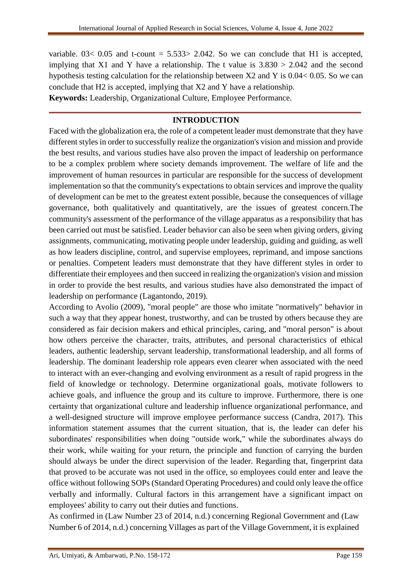variable.  $03 < 0.05$  and t-count = 5.533> 2.042. So we can conclude that H1 is accepted, implying that X1 and Y have a relationship. The t value is  $3.830 > 2.042$  and the second hypothesis testing calculation for the relationship between X2 and Y is 0.04< 0.05. So we can conclude that H2 is accepted, implying that X2 and Y have a relationship. **Keywords:** Leadership, Organizational Culture, Employee Performance.

# **\_\_\_\_\_\_\_\_\_\_\_\_\_\_\_\_\_\_\_\_\_\_\_\_\_\_\_\_\_\_\_\_\_\_\_\_\_\_\_\_\_\_\_\_\_\_\_\_\_\_\_\_\_\_\_\_\_\_\_\_\_\_\_\_\_\_\_\_\_\_\_\_\_\_\_ INTRODUCTION**

Faced with the globalization era, the role of a competent leader must demonstrate that they have different styles in order to successfully realize the organization's vision and mission and provide the best results, and various studies have also proven the impact of leadership on performance to be a complex problem where society demands improvement. The welfare of life and the improvement of human resources in particular are responsible for the success of development implementation so that the community's expectations to obtain services and improve the quality of development can be met to the greatest extent possible, because the consequences of village governance, both qualitatively and quantitatively, are the issues of greatest concern.The community's assessment of the performance of the village apparatus as a responsibility that has been carried out must be satisfied. Leader behavior can also be seen when giving orders, giving assignments, communicating, motivating people under leadership, guiding and guiding, as well as how leaders discipline, control, and supervise employees, reprimand, and impose sanctions or penalties. Competent leaders must demonstrate that they have different styles in order to differentiate their employees and then succeed in realizing the organization's vision and mission in order to provide the best results, and various studies have also demonstrated the impact of leadership on performance (Lagantondo, 2019).

According to Avolio (2009), "moral people" are those who imitate "normatively" behavior in such a way that they appear honest, trustworthy, and can be trusted by others because they are considered as fair decision makers and ethical principles, caring, and "moral person" is about how others perceive the character, traits, attributes, and personal characteristics of ethical leaders, authentic leadership, servant leadership, transformational leadership, and all forms of leadership. The dominant leadership role appears even clearer when associated with the need to interact with an ever-changing and evolving environment as a result of rapid progress in the field of knowledge or technology. Determine organizational goals, motivate followers to achieve goals, and influence the group and its culture to improve. Furthermore, there is one certainty that organizational culture and leadership influence organizational performance, and a well-designed structure will improve employee performance success (Candra, 2017). This information statement assumes that the current situation, that is, the leader can defer his subordinates' responsibilities when doing "outside work," while the subordinates always do their work, while waiting for your return, the principle and function of carrying the burden should always be under the direct supervision of the leader. Regarding that, fingerprint data that proved to be accurate was not used in the office, so employees could enter and leave the office without following SOPs (Standard Operating Procedures) and could only leave the office verbally and informally. Cultural factors in this arrangement have a significant impact on employees' ability to carry out their duties and functions.

As confirmed in (Law Number 23 of 2014, n.d.) concerning Regional Government and (Law Number 6 of 2014, n.d.) concerning Villages as part of the Village Government, it is explained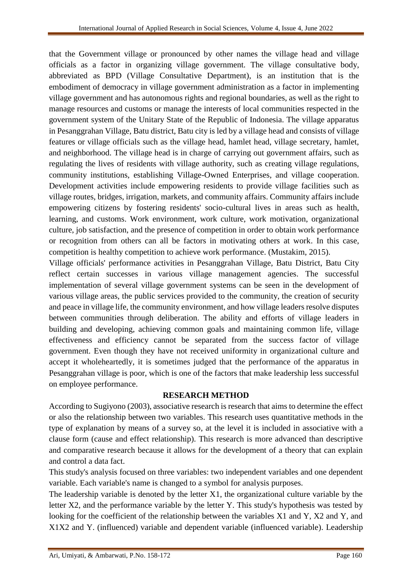that the Government village or pronounced by other names the village head and village officials as a factor in organizing village government. The village consultative body, abbreviated as BPD (Village Consultative Department), is an institution that is the embodiment of democracy in village government administration as a factor in implementing village government and has autonomous rights and regional boundaries, as well as the right to manage resources and customs or manage the interests of local communities respected in the government system of the Unitary State of the Republic of Indonesia. The village apparatus in Pesanggrahan Village, Batu district, Batu city is led by a village head and consists of village features or village officials such as the village head, hamlet head, village secretary, hamlet, and neighborhood. The village head is in charge of carrying out government affairs, such as regulating the lives of residents with village authority, such as creating village regulations, community institutions, establishing Village-Owned Enterprises, and village cooperation. Development activities include empowering residents to provide village facilities such as village routes, bridges, irrigation, markets, and community affairs. Community affairs include empowering citizens by fostering residents' socio-cultural lives in areas such as health, learning, and customs. Work environment, work culture, work motivation, organizational culture, job satisfaction, and the presence of competition in order to obtain work performance or recognition from others can all be factors in motivating others at work. In this case, competition is healthy competition to achieve work performance. (Mustakim, 2015).

Village officials' performance activities in Pesanggrahan Village, Batu District, Batu City reflect certain successes in various village management agencies. The successful implementation of several village government systems can be seen in the development of various village areas, the public services provided to the community, the creation of security and peace in village life, the community environment, and how village leaders resolve disputes between communities through deliberation. The ability and efforts of village leaders in building and developing, achieving common goals and maintaining common life, village effectiveness and efficiency cannot be separated from the success factor of village government. Even though they have not received uniformity in organizational culture and accept it wholeheartedly, it is sometimes judged that the performance of the apparatus in Pesanggrahan village is poor, which is one of the factors that make leadership less successful on employee performance.

# **RESEARCH METHOD**

According to Sugiyono (2003), associative research is research that aims to determine the effect or also the relationship between two variables. This research uses quantitative methods in the type of explanation by means of a survey so, at the level it is included in associative with a clause form (cause and effect relationship). This research is more advanced than descriptive and comparative research because it allows for the development of a theory that can explain and control a data fact.

This study's analysis focused on three variables: two independent variables and one dependent variable. Each variable's name is changed to a symbol for analysis purposes.

The leadership variable is denoted by the letter X1, the organizational culture variable by the letter X2, and the performance variable by the letter Y. This study's hypothesis was tested by looking for the coefficient of the relationship between the variables X1 and Y, X2 and Y, and X1X2 and Y. (influenced) variable and dependent variable (influenced variable). Leadership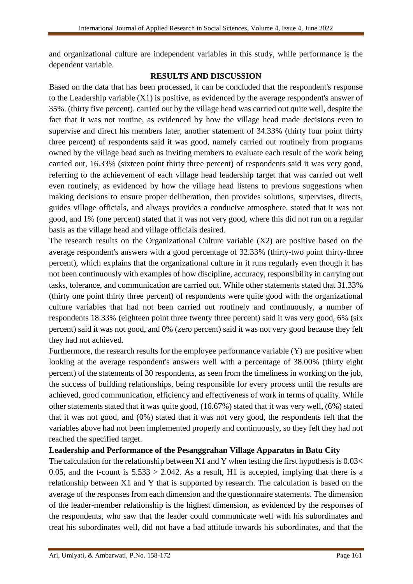and organizational culture are independent variables in this study, while performance is the dependent variable.

### **RESULTS AND DISCUSSION**

Based on the data that has been processed, it can be concluded that the respondent's response to the Leadership variable (X1) is positive, as evidenced by the average respondent's answer of 35%. (thirty five percent). carried out by the village head was carried out quite well, despite the fact that it was not routine, as evidenced by how the village head made decisions even to supervise and direct his members later, another statement of 34.33% (thirty four point thirty three percent) of respondents said it was good, namely carried out routinely from programs owned by the village head such as inviting members to evaluate each result of the work being carried out, 16.33% (sixteen point thirty three percent) of respondents said it was very good, referring to the achievement of each village head leadership target that was carried out well even routinely, as evidenced by how the village head listens to previous suggestions when making decisions to ensure proper deliberation, then provides solutions, supervises, directs, guides village officials, and always provides a conducive atmosphere. stated that it was not good, and 1% (one percent) stated that it was not very good, where this did not run on a regular basis as the village head and village officials desired.

The research results on the Organizational Culture variable (X2) are positive based on the average respondent's answers with a good percentage of 32.33% (thirty-two point thirty-three percent), which explains that the organizational culture in it runs regularly even though it has not been continuously with examples of how discipline, accuracy, responsibility in carrying out tasks, tolerance, and communication are carried out. While other statements stated that 31.33% (thirty one point thirty three percent) of respondents were quite good with the organizational culture variables that had not been carried out routinely and continuously, a number of respondents 18.33% (eighteen point three twenty three percent) said it was very good, 6% (six percent) said it was not good, and 0% (zero percent) said it was not very good because they felt they had not achieved.

Furthermore, the research results for the employee performance variable (Y) are positive when looking at the average respondent's answers well with a percentage of 38.00% (thirty eight percent) of the statements of 30 respondents, as seen from the timeliness in working on the job, the success of building relationships, being responsible for every process until the results are achieved, good communication, efficiency and effectiveness of work in terms of quality. While other statements stated that it was quite good, (16.67%) stated that it was very well, (6%) stated that it was not good, and (0%) stated that it was not very good, the respondents felt that the variables above had not been implemented properly and continuously, so they felt they had not reached the specified target.

# **Leadership and Performance of the Pesanggrahan Village Apparatus in Batu City**

The calculation for the relationship between X1 and Y when testing the first hypothesis is  $0.03<$ 0.05, and the t-count is  $5.533 > 2.042$ . As a result, H1 is accepted, implying that there is a relationship between X1 and Y that is supported by research. The calculation is based on the average of the responses from each dimension and the questionnaire statements. The dimension of the leader-member relationship is the highest dimension, as evidenced by the responses of the respondents, who saw that the leader could communicate well with his subordinates and treat his subordinates well, did not have a bad attitude towards his subordinates, and that the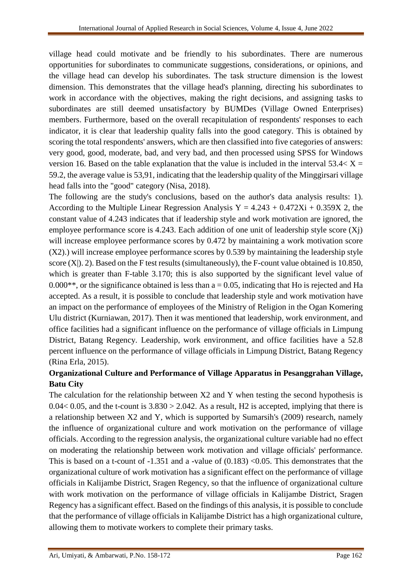village head could motivate and be friendly to his subordinates. There are numerous opportunities for subordinates to communicate suggestions, considerations, or opinions, and the village head can develop his subordinates. The task structure dimension is the lowest dimension. This demonstrates that the village head's planning, directing his subordinates to work in accordance with the objectives, making the right decisions, and assigning tasks to subordinates are still deemed unsatisfactory by BUMDes (Village Owned Enterprises) members. Furthermore, based on the overall recapitulation of respondents' responses to each indicator, it is clear that leadership quality falls into the good category. This is obtained by scoring the total respondents' answers, which are then classified into five categories of answers: very good, good, moderate, bad, and very bad, and then processed using SPSS for Windows version 16. Based on the table explanation that the value is included in the interval  $53.4 < X =$ 59.2, the average value is 53,91, indicating that the leadership quality of the Minggirsari village head falls into the "good" category (Nisa, 2018).

The following are the study's conclusions, based on the author's data analysis results: 1). According to the Multiple Linear Regression Analysis  $Y = 4.243 + 0.472Xi + 0.359X$  2, the constant value of 4.243 indicates that if leadership style and work motivation are ignored, the employee performance score is 4.243. Each addition of one unit of leadership style score (Xj) will increase employee performance scores by 0.472 by maintaining a work motivation score (X2).) will increase employee performance scores by 0.539 by maintaining the leadership style score  $(X|)$ . 2). Based on the F test results (simultaneously), the F-count value obtained is 10.850, which is greater than F-table 3.170; this is also supported by the significant level value of  $0.000**$ , or the significance obtained is less than  $a = 0.05$ , indicating that Ho is rejected and Ha accepted. As a result, it is possible to conclude that leadership style and work motivation have an impact on the performance of employees of the Ministry of Religion in the Ogan Komering Ulu district (Kurniawan, 2017). Then it was mentioned that leadership, work environment, and office facilities had a significant influence on the performance of village officials in Limpung District, Batang Regency. Leadership, work environment, and office facilities have a 52.8 percent influence on the performance of village officials in Limpung District, Batang Regency (Rina Erla, 2015).

# **Organizational Culture and Performance of Village Apparatus in Pesanggrahan Village, Batu City**

The calculation for the relationship between X2 and Y when testing the second hypothesis is 0.04 < 0.05, and the t-count is  $3.830 > 2.042$ . As a result, H2 is accepted, implying that there is a relationship between X2 and Y, which is supported by Sumarsih's (2009) research, namely the influence of organizational culture and work motivation on the performance of village officials. According to the regression analysis, the organizational culture variable had no effect on moderating the relationship between work motivation and village officials' performance. This is based on a t-count of  $-1.351$  and a -value of  $(0.183)$  <0.05. This demonstrates that the organizational culture of work motivation has a significant effect on the performance of village officials in Kalijambe District, Sragen Regency, so that the influence of organizational culture with work motivation on the performance of village officials in Kalijambe District, Sragen Regency has a significant effect. Based on the findings of this analysis, it is possible to conclude that the performance of village officials in Kalijambe District has a high organizational culture, allowing them to motivate workers to complete their primary tasks.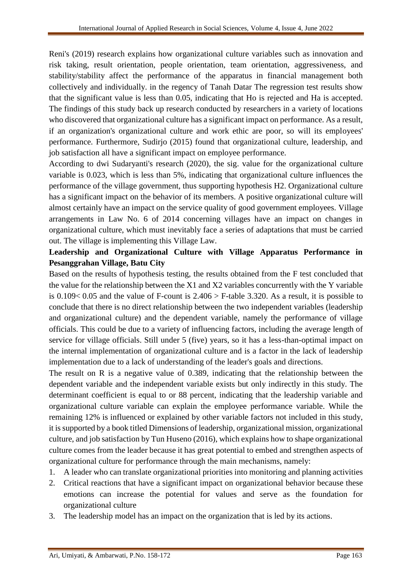Reni's (2019) research explains how organizational culture variables such as innovation and risk taking, result orientation, people orientation, team orientation, aggressiveness, and stability/stability affect the performance of the apparatus in financial management both collectively and individually. in the regency of Tanah Datar The regression test results show that the significant value is less than 0.05, indicating that Ho is rejected and Ha is accepted. The findings of this study back up research conducted by researchers in a variety of locations who discovered that organizational culture has a significant impact on performance. As a result, if an organization's organizational culture and work ethic are poor, so will its employees' performance. Furthermore, Sudirjo (2015) found that organizational culture, leadership, and job satisfaction all have a significant impact on employee performance.

According to dwi Sudaryanti's research (2020), the sig. value for the organizational culture variable is 0.023, which is less than 5%, indicating that organizational culture influences the performance of the village government, thus supporting hypothesis H2. Organizational culture has a significant impact on the behavior of its members. A positive organizational culture will almost certainly have an impact on the service quality of good government employees. Village arrangements in Law No. 6 of 2014 concerning villages have an impact on changes in organizational culture, which must inevitably face a series of adaptations that must be carried out. The village is implementing this Village Law.

# **Leadership and Organizational Culture with Village Apparatus Performance in Pesanggrahan Village, Batu City**

Based on the results of hypothesis testing, the results obtained from the F test concluded that the value for the relationship between the X1 and X2 variables concurrently with the Y variable is 0.109< 0.05 and the value of F-count is 2.406 > F-table 3.320. As a result, it is possible to conclude that there is no direct relationship between the two independent variables (leadership and organizational culture) and the dependent variable, namely the performance of village officials. This could be due to a variety of influencing factors, including the average length of service for village officials. Still under 5 (five) years, so it has a less-than-optimal impact on the internal implementation of organizational culture and is a factor in the lack of leadership implementation due to a lack of understanding of the leader's goals and directions.

The result on R is a negative value of 0.389, indicating that the relationship between the dependent variable and the independent variable exists but only indirectly in this study. The determinant coefficient is equal to or 88 percent, indicating that the leadership variable and organizational culture variable can explain the employee performance variable. While the remaining 12% is influenced or explained by other variable factors not included in this study, it is supported by a book titled Dimensions of leadership, organizational mission, organizational culture, and job satisfaction by Tun Huseno (2016), which explains how to shape organizational culture comes from the leader because it has great potential to embed and strengthen aspects of organizational culture for performance through the main mechanisms, namely:

- 1. A leader who can translate organizational priorities into monitoring and planning activities
- 2. Critical reactions that have a significant impact on organizational behavior because these emotions can increase the potential for values and serve as the foundation for organizational culture
- 3. The leadership model has an impact on the organization that is led by its actions.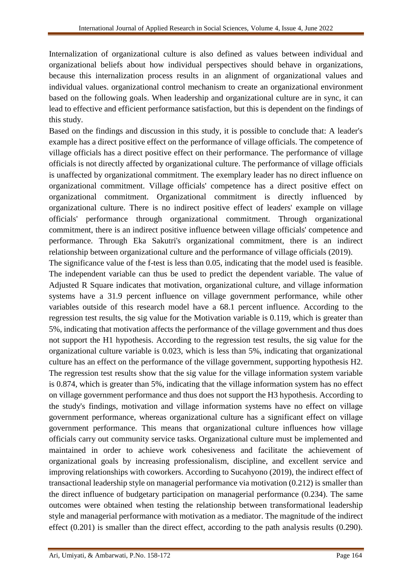Internalization of organizational culture is also defined as values between individual and organizational beliefs about how individual perspectives should behave in organizations, because this internalization process results in an alignment of organizational values and individual values. organizational control mechanism to create an organizational environment based on the following goals. When leadership and organizational culture are in sync, it can lead to effective and efficient performance satisfaction, but this is dependent on the findings of this study.

Based on the findings and discussion in this study, it is possible to conclude that: A leader's example has a direct positive effect on the performance of village officials. The competence of village officials has a direct positive effect on their performance. The performance of village officials is not directly affected by organizational culture. The performance of village officials is unaffected by organizational commitment. The exemplary leader has no direct influence on organizational commitment. Village officials' competence has a direct positive effect on organizational commitment. Organizational commitment is directly influenced by organizational culture. There is no indirect positive effect of leaders' example on village officials' performance through organizational commitment. Through organizational commitment, there is an indirect positive influence between village officials' competence and performance. Through Eka Sakutri's organizational commitment, there is an indirect relationship between organizational culture and the performance of village officials (2019).

The significance value of the f-test is less than 0.05, indicating that the model used is feasible. The independent variable can thus be used to predict the dependent variable. The value of Adjusted R Square indicates that motivation, organizational culture, and village information systems have a 31.9 percent influence on village government performance, while other variables outside of this research model have a 68.1 percent influence. According to the regression test results, the sig value for the Motivation variable is 0.119, which is greater than 5%, indicating that motivation affects the performance of the village government and thus does not support the H1 hypothesis. According to the regression test results, the sig value for the organizational culture variable is 0.023, which is less than 5%, indicating that organizational culture has an effect on the performance of the village government, supporting hypothesis H2. The regression test results show that the sig value for the village information system variable is 0.874, which is greater than 5%, indicating that the village information system has no effect on village government performance and thus does not support the H3 hypothesis. According to the study's findings, motivation and village information systems have no effect on village government performance, whereas organizational culture has a significant effect on village government performance. This means that organizational culture influences how village officials carry out community service tasks. Organizational culture must be implemented and maintained in order to achieve work cohesiveness and facilitate the achievement of organizational goals by increasing professionalism, discipline, and excellent service and improving relationships with coworkers. According to Sucahyono (2019), the indirect effect of transactional leadership style on managerial performance via motivation (0.212) is smaller than the direct influence of budgetary participation on managerial performance (0.234). The same outcomes were obtained when testing the relationship between transformational leadership style and managerial performance with motivation as a mediator. The magnitude of the indirect effect (0.201) is smaller than the direct effect, according to the path analysis results (0.290).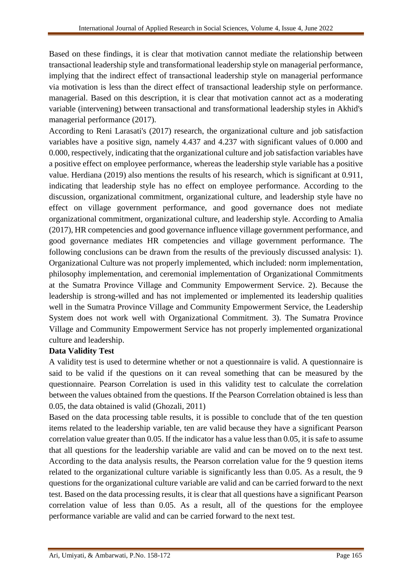Based on these findings, it is clear that motivation cannot mediate the relationship between transactional leadership style and transformational leadership style on managerial performance, implying that the indirect effect of transactional leadership style on managerial performance via motivation is less than the direct effect of transactional leadership style on performance. managerial. Based on this description, it is clear that motivation cannot act as a moderating variable (intervening) between transactional and transformational leadership styles in Akhid's managerial performance (2017).

According to Reni Larasati's (2017) research, the organizational culture and job satisfaction variables have a positive sign, namely 4.437 and 4.237 with significant values of 0.000 and 0.000, respectively, indicating that the organizational culture and job satisfaction variables have a positive effect on employee performance, whereas the leadership style variable has a positive value. Herdiana (2019) also mentions the results of his research, which is significant at 0.911, indicating that leadership style has no effect on employee performance. According to the discussion, organizational commitment, organizational culture, and leadership style have no effect on village government performance, and good governance does not mediate organizational commitment, organizational culture, and leadership style. According to Amalia (2017), HR competencies and good governance influence village government performance, and good governance mediates HR competencies and village government performance. The following conclusions can be drawn from the results of the previously discussed analysis: 1). Organizational Culture was not properly implemented, which included: norm implementation, philosophy implementation, and ceremonial implementation of Organizational Commitments at the Sumatra Province Village and Community Empowerment Service. 2). Because the leadership is strong-willed and has not implemented or implemented its leadership qualities well in the Sumatra Province Village and Community Empowerment Service, the Leadership System does not work well with Organizational Commitment. 3). The Sumatra Province Village and Community Empowerment Service has not properly implemented organizational culture and leadership.

#### **Data Validity Test**

A validity test is used to determine whether or not a questionnaire is valid. A questionnaire is said to be valid if the questions on it can reveal something that can be measured by the questionnaire. Pearson Correlation is used in this validity test to calculate the correlation between the values obtained from the questions. If the Pearson Correlation obtained is less than 0.05, the data obtained is valid (Ghozali, 2011)

Based on the data processing table results, it is possible to conclude that of the ten question items related to the leadership variable, ten are valid because they have a significant Pearson correlation value greater than 0.05. If the indicator has a value less than 0.05, it is safe to assume that all questions for the leadership variable are valid and can be moved on to the next test. According to the data analysis results, the Pearson correlation value for the 9 question items related to the organizational culture variable is significantly less than 0.05. As a result, the 9 questions for the organizational culture variable are valid and can be carried forward to the next test. Based on the data processing results, it is clear that all questions have a significant Pearson correlation value of less than 0.05. As a result, all of the questions for the employee performance variable are valid and can be carried forward to the next test.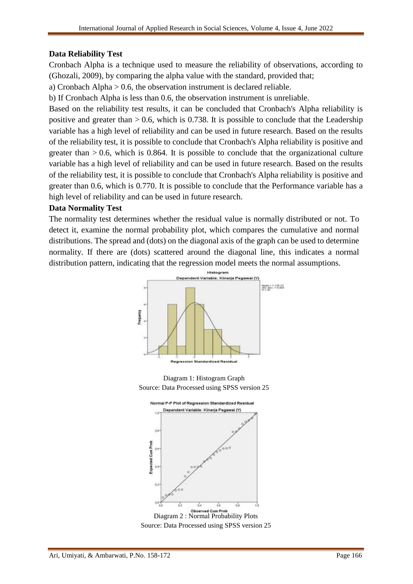### **Data Reliability Test**

Cronbach Alpha is a technique used to measure the reliability of observations, according to (Ghozali, 2009), by comparing the alpha value with the standard, provided that;

a) Cronbach Alpha > 0.6, the observation instrument is declared reliable.

b) If Cronbach Alpha is less than 0.6, the observation instrument is unreliable.

Based on the reliability test results, it can be concluded that Cronbach's Alpha reliability is positive and greater than  $> 0.6$ , which is 0.738. It is possible to conclude that the Leadership variable has a high level of reliability and can be used in future research. Based on the results of the reliability test, it is possible to conclude that Cronbach's Alpha reliability is positive and greater than  $> 0.6$ , which is 0.864. It is possible to conclude that the organizational culture variable has a high level of reliability and can be used in future research. Based on the results of the reliability test, it is possible to conclude that Cronbach's Alpha reliability is positive and greater than 0.6, which is 0.770. It is possible to conclude that the Performance variable has a high level of reliability and can be used in future research.

#### **Data Normality Test**

The normality test determines whether the residual value is normally distributed or not. To detect it, examine the normal probability plot, which compares the cumulative and normal distributions. The spread and (dots) on the diagonal axis of the graph can be used to determine normality. If there are (dots) scattered around the diagonal line, this indicates a normal distribution pattern, indicating that the regression model meets the normal assumptions.



Diagram 1: Histogram Graph Source: Data Processed using SPSS version 25



Diagram 2 : Normal Probability Plots Source: Data Processed using SPSS version 25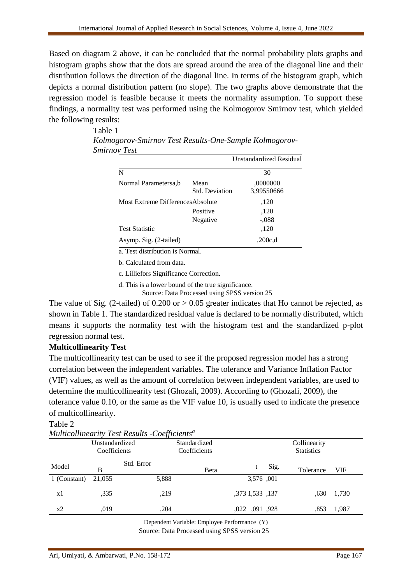Based on diagram 2 above, it can be concluded that the normal probability plots graphs and histogram graphs show that the dots are spread around the area of the diagonal line and their distribution follows the direction of the diagonal line. In terms of the histogram graph, which depicts a normal distribution pattern (no slope). The two graphs above demonstrate that the regression model is feasible because it meets the normality assumption. To support these findings, a normality test was performed using the Kolmogorov Smirnov test, which yielded the following results:

|                                        |                               | <b>Unstandardized Residual</b> |
|----------------------------------------|-------------------------------|--------------------------------|
| N                                      |                               | 30                             |
| Normal Parametersa, b                  | Mean<br><b>Std. Deviation</b> | ,0000000<br>3,99550666         |
| Most Extreme Differences Absolute      |                               | ,120                           |
|                                        | Positive                      | ,120                           |
|                                        | Negative                      | $-.088$                        |
| <b>Test Statistic</b>                  |                               | ,120                           |
| Asymp. Sig. (2-tailed)                 |                               | .200c,d                        |
| a. Test distribution is Normal.        |                               |                                |
| b. Calculated from data.               |                               |                                |
| c. Lilliefors Significance Correction. |                               |                                |

Table 1 *Kolmogorov-Smirnov Test Results-One-Sample Kolmogorov-Smirnov Test*

d. This is a lower bound of the true significance.

Source: Data Processed using SPSS version 25

The value of Sig. (2-tailed) of  $0.200$  or  $> 0.05$  greater indicates that Ho cannot be rejected, as shown in Table 1. The standardized residual value is declared to be normally distributed, which means it supports the normality test with the histogram test and the standardized p-plot regression normal test.

#### **Multicollinearity Test**

The multicollinearity test can be used to see if the proposed regression model has a strong correlation between the independent variables. The tolerance and Variance Inflation Factor (VIF) values, as well as the amount of correlation between independent variables, are used to determine the multicollinearity test (Ghozali, 2009). According to (Ghozali, 2009), the tolerance value 0.10, or the same as the VIF value 10, is usually used to indicate the presence of multicollinearity.

#### Table 2

| Multicollinearity Lest Results -Coefficients" |                                |            |                              |                 |      |                                   |       |  |
|-----------------------------------------------|--------------------------------|------------|------------------------------|-----------------|------|-----------------------------------|-------|--|
|                                               | Unstandardized<br>Coefficients |            | Standardized<br>Coefficients |                 |      | Collinearity<br><b>Statistics</b> |       |  |
| Model                                         | В                              | Std. Error | Beta                         |                 | Sig. | Tolerance                         | VIF   |  |
| 1 (Constant)                                  | 21,055                         | 5,888      |                              | 3,576,001       |      |                                   |       |  |
| x1                                            | .335                           | ,219       |                              | ,373 1,533 ,137 |      | .630                              | 1,730 |  |
| x2                                            | .019                           | .204       |                              | ,022, 091, 028  |      | .853                              | 1,987 |  |
|                                               |                                |            |                              |                 |      |                                   |       |  |

*Multicollinearity Test Results -Coefficients<sup>a</sup>*

Dependent Variable: Employee Performance (Y) Source: Data Processed using SPSS version 25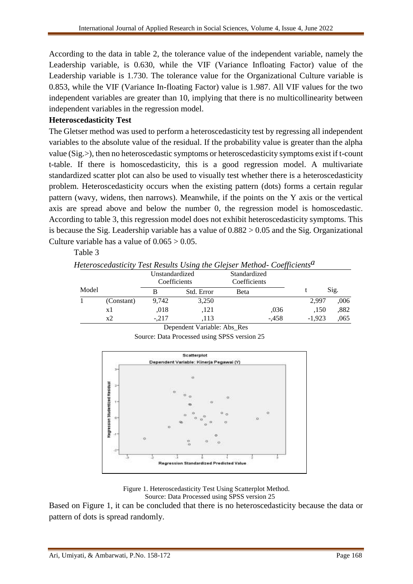According to the data in table 2, the tolerance value of the independent variable, namely the Leadership variable, is 0.630, while the VIF (Variance Infloating Factor) value of the Leadership variable is 1.730. The tolerance value for the Organizational Culture variable is 0.853, while the VIF (Variance In-floating Factor) value is 1.987. All VIF values for the two independent variables are greater than 10, implying that there is no multicollinearity between independent variables in the regression model.

## **Heteroscedasticity Test**

The Gletser method was used to perform a heteroscedasticity test by regressing all independent variables to the absolute value of the residual. If the probability value is greater than the alpha value (Sig.>), then no heteroscedastic symptoms or heteroscedasticity symptoms exist if t-count t-table. If there is homoscedasticity, this is a good regression model. A multivariate standardized scatter plot can also be used to visually test whether there is a heteroscedasticity problem. Heteroscedasticity occurs when the existing pattern (dots) forms a certain regular pattern (wavy, widens, then narrows). Meanwhile, if the points on the Y axis or the vertical axis are spread above and below the number 0, the regression model is homoscedastic. According to table 3, this regression model does not exhibit heteroscedasticity symptoms. This is because the Sig. Leadership variable has a value of  $0.882 > 0.05$  and the Sig. Organizational Culture variable has a value of  $0.065 > 0.05$ .

# Table 3

|       |            |                                |            | Heteroscedasticity Test Results Using the Glejser Method- Coefficients <sup>a</sup> |       |      |
|-------|------------|--------------------------------|------------|-------------------------------------------------------------------------------------|-------|------|
|       |            | Unstandardized<br>Coefficients |            | Standardized<br>Coefficients                                                        |       |      |
| Model |            |                                | Std. Error | <b>Beta</b>                                                                         |       | Sig. |
|       | (Constant) | 9.742                          | 3.250      |                                                                                     | 2.997 | 006  |

x1 ,018 ,121 ,036 ,150 ,882

x2 -,217 ,113 -,458 -1,923 ,065 Dependent Variable: Abs\_Res

Source: Data Processed using SPSS version 25



Figure 1. Heteroscedasticity Test Using Scatterplot Method. Source: Data Processed using SPSS version 25

Based on Figure 1, it can be concluded that there is no heteroscedasticity because the data or pattern of dots is spread randomly.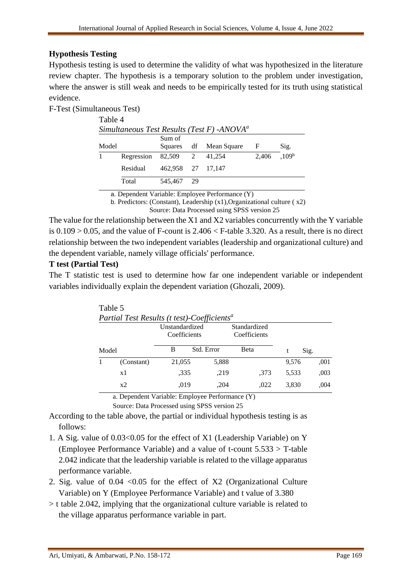# **Hypothesis Testing**

Hypothesis testing is used to determine the validity of what was hypothesized in the literature review chapter. The hypothesis is a temporary solution to the problem under investigation, where the answer is still weak and needs to be empirically tested for its truth using statistical evidence.

F-Test (Simultaneous Test)

| Table 4                                       |            |                   |    |                        |       |                   |  |  |
|-----------------------------------------------|------------|-------------------|----|------------------------|-------|-------------------|--|--|
| Simultaneous Test Results (Test F) - $ANOVAa$ |            |                   |    |                        |       |                   |  |  |
| Model                                         |            | Sum of            |    | Squares df Mean Square | F     | Sig.              |  |  |
| $\mathbf{1}$                                  | Regression | 82,509            | 2  | 41,254                 | 2,406 | .109 <sup>b</sup> |  |  |
|                                               | Residual   | 462.958 27 17.147 |    |                        |       |                   |  |  |
|                                               | Total      | 545,467           | 29 |                        |       |                   |  |  |

a. Dependent Variable: Employee Performance (Y)

b. Predictors: (Constant), Leadership (x1),Organizational culture ( x2) Source: Data Processed using SPSS version 25

The value for the relationship between the X1 and X2 variables concurrently with the Y variable is  $0.109 > 0.05$ , and the value of F-count is  $2.406 <$  F-table 3.320. As a result, there is no direct relationship between the two independent variables (leadership and organizational culture) and the dependent variable, namely village officials' performance.

### **T test (Partial Test)**

The T statistic test is used to determine how far one independent variable or independent variables individually explain the dependent variation (Ghozali, 2009).

|       | Partial Test Results (Flest)-Coefficients |                                |            |                              |  |       |      |  |
|-------|-------------------------------------------|--------------------------------|------------|------------------------------|--|-------|------|--|
|       |                                           | Unstandardized<br>Coefficients |            | Standardized<br>Coefficients |  |       |      |  |
| Model |                                           | В                              | Std. Error | <b>B</b> eta                 |  | Sig.  |      |  |
|       | (Constant)                                | 21,055                         | 5,888      |                              |  | 9,576 | .001 |  |
|       | x1                                        | .335                           | .219       | .373                         |  | 5.533 | ,003 |  |
|       | x2                                        | .019                           | .204       | .022                         |  | 3,830 | .004 |  |

Table 5<br> $R$ <sub>ruti o</sub>l T<sub>ret</sub>  $R$  $P_{t}$  (the subt)  $C$ 

a. Dependent Variable: Employee Performance (Y)

Source: Data Processed using SPSS version 25

According to the table above, the partial or individual hypothesis testing is as follows:

- 1. A Sig. value of 0.03<0.05 for the effect of X1 (Leadership Variable) on Y (Employee Performance Variable) and a value of t-count 5.533 > T-table 2.042 indicate that the leadership variable is related to the village apparatus performance variable.
- 2. Sig. value of  $0.04 \le 0.05$  for the effect of X2 (Organizational Culture Variable) on Y (Employee Performance Variable) and t value of 3.380
- > t table 2.042, implying that the organizational culture variable is related to the village apparatus performance variable in part.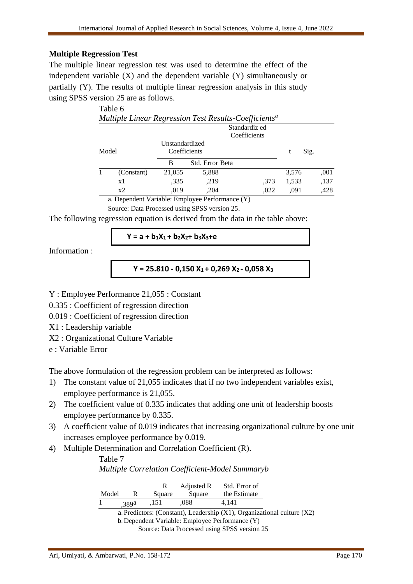### **Multiple Regression Test**

The multiple linear regression test was used to determine the effect of the independent variable (X) and the dependent variable (Y) simultaneously or partially (Y). The results of multiple linear regression analysis in this study using SPSS version 25 are as follows.

|               | Table 6                                                           |        |                                |              |       |      |  |  |
|---------------|-------------------------------------------------------------------|--------|--------------------------------|--------------|-------|------|--|--|
|               | Multiple Linear Regression Test Results-Coefficients <sup>a</sup> |        |                                |              |       |      |  |  |
| Standardiz ed |                                                                   |        |                                |              |       |      |  |  |
|               |                                                                   |        |                                | Coefficients |       |      |  |  |
| Model         |                                                                   |        | Unstandardized<br>Coefficients |              | t     | Sig. |  |  |
|               |                                                                   | B      | Std. Error Beta                |              |       |      |  |  |
|               | (Constant)                                                        | 21,055 | 5,888                          |              | 3,576 | ,001 |  |  |
|               | x1                                                                | .335   | .219                           | .373         | 1,533 | ,137 |  |  |
|               | x2                                                                | ,019   | ,204                           | ,022         | ,091  | ,428 |  |  |
|               | $\sim$ Denordent Vesialder Employee Desformance (V)               |        |                                |              |       |      |  |  |

a. Dependent Variable: Employee Performance (Y) Source: Data Processed using SPSS version 25.

The following regression equation is derived from the data in the table above:

### **Y = a + b1X1 + b2X2+ b3X3+e**

Information :

```
Y = 25.810 - 0,150 X1 + 0,269 X2 - 0,058 X3
```
Y : Employee Performance 21,055 : Constant

0.335 : Coefficient of regression direction

0.019 : Coefficient of regression direction

X1 : Leadership variable

X2 : Organizational Culture Variable

e : Variable Error

The above formulation of the regression problem can be interpreted as follows:

- 1) The constant value of 21,055 indicates that if no two independent variables exist, employee performance is 21,055.
- 2) The coefficient value of 0.335 indicates that adding one unit of leadership boosts employee performance by 0.335.
- 3) A coefficient value of 0.019 indicates that increasing organizational culture by one unit increases employee performance by 0.019.
- 4) Multiple Determination and Correlation Coefficient (R).

| Table 7 |       |        |            |                                                        |                                                                              |
|---------|-------|--------|------------|--------------------------------------------------------|------------------------------------------------------------------------------|
|         |       |        |            | <b>Multiple Correlation Coefficient-Model Summaryb</b> |                                                                              |
|         |       | R      | Adjusted R | Std. Error of                                          |                                                                              |
|         |       |        |            |                                                        |                                                                              |
| Model   | R     | Square | Square     | the Estimate                                           |                                                                              |
|         | .389a | .151   | .088       | 4.141                                                  |                                                                              |
|         |       |        |            |                                                        | a. Predictors: (Constant), Leadership $(X1)$ , Organizational culture $(X2)$ |
|         |       |        |            | h Dependent Variable: Employee Performance (Y)         |                                                                              |

ent variable: Employee Perfo Source: Data Processed using SPSS version 25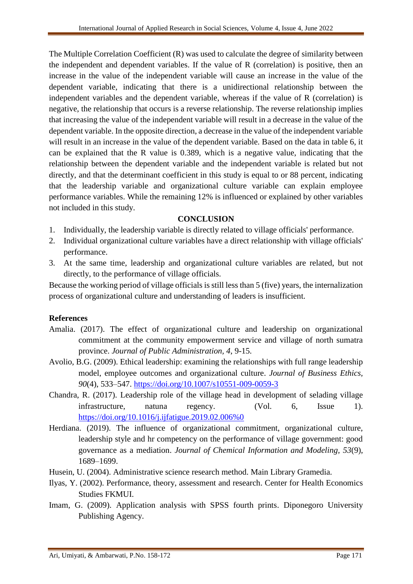The Multiple Correlation Coefficient (R) was used to calculate the degree of similarity between the independent and dependent variables. If the value of R (correlation) is positive, then an increase in the value of the independent variable will cause an increase in the value of the dependent variable, indicating that there is a unidirectional relationship between the independent variables and the dependent variable, whereas if the value of R (correlation) is negative, the relationship that occurs is a reverse relationship. The reverse relationship implies that increasing the value of the independent variable will result in a decrease in the value of the dependent variable. In the opposite direction, a decrease in the value of the independent variable will result in an increase in the value of the dependent variable. Based on the data in table 6, it can be explained that the R value is 0.389, which is a negative value, indicating that the relationship between the dependent variable and the independent variable is related but not directly, and that the determinant coefficient in this study is equal to or 88 percent, indicating that the leadership variable and organizational culture variable can explain employee performance variables. While the remaining 12% is influenced or explained by other variables not included in this study.

### **CONCLUSION**

- 1. Individually, the leadership variable is directly related to village officials' performance.
- 2. Individual organizational culture variables have a direct relationship with village officials' performance.
- 3. At the same time, leadership and organizational culture variables are related, but not directly, to the performance of village officials.

Because the working period of village officials is still less than 5 (five) years, the internalization process of organizational culture and understanding of leaders is insufficient.

#### **References**

- Amalia. (2017). The effect of organizational culture and leadership on organizational commitment at the community empowerment service and village of north sumatra province. *Journal of Public Administration, 4*, 9-15.
- Avolio, B.G. (2009). Ethical leadership: examining the relationships with full range leadership model, employee outcomes and organizational culture. *Journal of Business Ethics, 90*(4), 533–547.<https://doi.org/10.1007/s10551-009-0059-3>
- Chandra, R. (2017). Leadership role of the village head in development of selading village infrastructure, natuna regency. (Vol. 6, Issue 1). [https://doi.org/10.1016/j.ijfatigue.2019.02.006%0](https://doi.org/10.1016/j.ijfatigue.2019.02.006%250)
- Herdiana. (2019). The influence of organizational commitment, organizational culture, leadership style and hr competency on the performance of village government: good governance as a mediation. *Journal of Chemical Information and Modeling, 53*(9), 1689–1699.
- Husein, U. (2004). Administrative science research method. Main Library Gramedia.
- Ilyas, Y. (2002). Performance, theory, assessment and research. Center for Health Economics Studies FKMUI.
- Imam, G. (2009). Application analysis with SPSS fourth prints. Diponegoro University Publishing Agency.